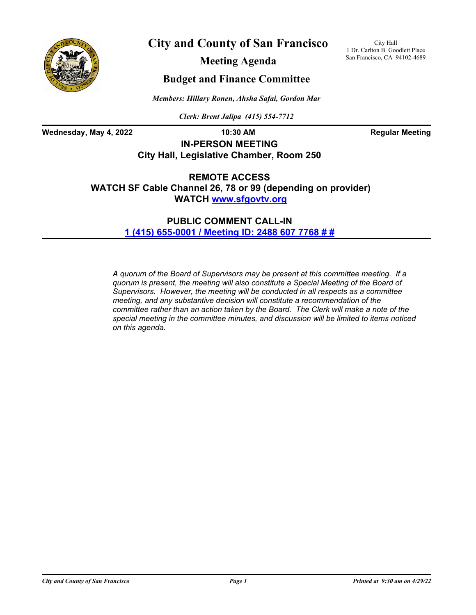

**City and County of San Francisco**

City Hall 1 Dr. Carlton B. Goodlett Place San Francisco, CA 94102-4689

**Meeting Agenda**

## **Budget and Finance Committee**

*Members: Hillary Ronen, Ahsha Safai, Gordon Mar*

*Clerk: Brent Jalipa (415) 554-7712*

Wednesday, May 4, 2022 **10:30 AM Regular Meeting** 

**IN-PERSON MEETING City Hall, Legislative Chamber, Room 250**

**REMOTE ACCESS WATCH SF Cable Channel 26, 78 or 99 (depending on provider) WATCH<www.sfgovtv.org>**

> **PUBLIC COMMENT CALL-IN [1 \(415\) 655-0001 / Meeting ID: 2488 607 7768 # #](tel:+14156550001,,24886077768#,,#)**

*A quorum of the Board of Supervisors may be present at this committee meeting. If a quorum is present, the meeting will also constitute a Special Meeting of the Board of Supervisors. However, the meeting will be conducted in all respects as a committee meeting, and any substantive decision will constitute a recommendation of the committee rather than an action taken by the Board. The Clerk will make a note of the special meeting in the committee minutes, and discussion will be limited to items noticed on this agenda.*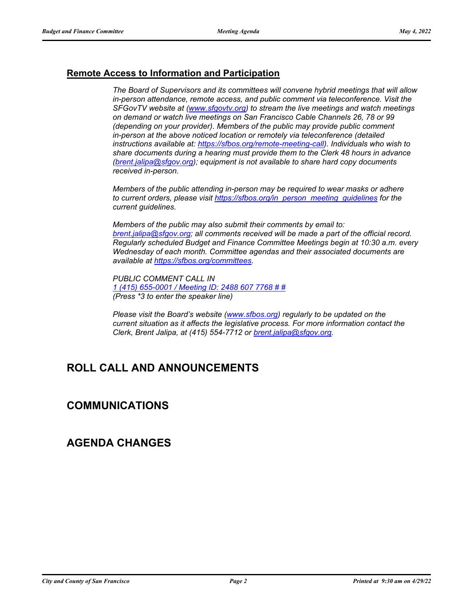## **Remote Access to Information and Participation**

*The Board of Supervisors and its committees will convene hybrid meetings that will allow in-person attendance, remote access, and public comment via teleconference. Visit the SFGovTV website at [\(www.sfgovtv.org\)](www.sfgovtv.org) to stream the live meetings and watch meetings on demand or watch live meetings on San Francisco Cable Channels 26, 78 or 99 (depending on your provider). Members of the public may provide public comment in-person at the above noticed location or remotely via teleconference (detailed instructions available at: [https://sfbos.org/remote-meeting-call\)](https://sfbos.org/remote-meeting-call). Individuals who wish to share documents during a hearing must provide them to the Clerk 48 hours in advance [\(brent.jalipa@sfgov.org\)](mailto:brent.jalipa@sfgov.org); equipment is not available to share hard copy documents received in-person.*

*Members of the public attending in-person may be required to wear masks or adhere to current orders, please visit [https://sfbos.org/in\\_person\\_meeting\\_guidelines](https://sfbos.org/in_person_meeting_guidelines) for the current guidelines.*

*Members of the public may also submit their comments by email to: [brent.jalipa@sfgov.org](mailto:brent.jalipa@sfgov.org); all comments received will be made a part of the official record. Regularly scheduled Budget and Finance Committee Meetings begin at 10:30 a.m. every Wednesday of each month. Committee agendas and their associated documents are available at [https://sfbos.org/committees.](https://sfbos.org/committees)*

*PUBLIC COMMENT CALL IN [1 \(415\) 655-0001 / Meeting ID: 2488 607 7768 # #](tel:+14156550001,,24886077768#,,#) (Press \*3 to enter the speaker line)*

*Please visit the Board's website [\(www.sfbos.org\)](www.sfbos.org) regularly to be updated on the current situation as it affects the legislative process. For more information contact the Clerk, Brent Jalipa, at (415) 554-7712 or [brent.jalipa@sfgov.org.](mailto:brent.jalipa@sfgov.org)*

# **ROLL CALL AND ANNOUNCEMENTS**

## **COMMUNICATIONS**

## **AGENDA CHANGES**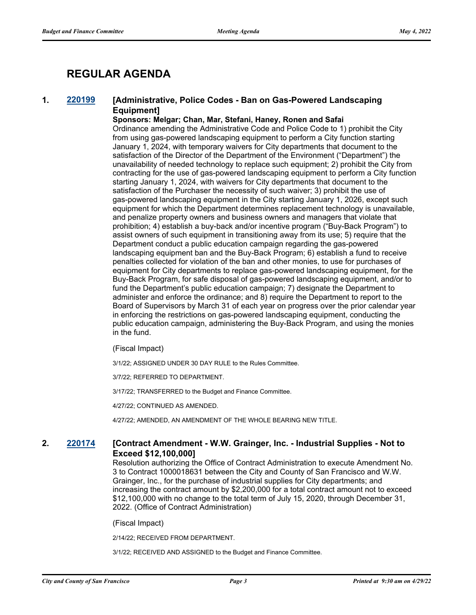# **REGULAR AGENDA**

#### **1. [220199](http://sfgov.legistar.com/gateway.aspx?m=l&id=38394) [Administrative, Police Codes - Ban on Gas-Powered Landscaping Equipment]**

#### **Sponsors: Melgar; Chan, Mar, Stefani, Haney, Ronen and Safai**

Ordinance amending the Administrative Code and Police Code to 1) prohibit the City from using gas-powered landscaping equipment to perform a City function starting January 1, 2024, with temporary waivers for City departments that document to the satisfaction of the Director of the Department of the Environment ("Department") the unavailability of needed technology to replace such equipment; 2) prohibit the City from contracting for the use of gas-powered landscaping equipment to perform a City function starting January 1, 2024, with waivers for City departments that document to the satisfaction of the Purchaser the necessity of such waiver; 3) prohibit the use of gas-powered landscaping equipment in the City starting January 1, 2026, except such equipment for which the Department determines replacement technology is unavailable, and penalize property owners and business owners and managers that violate that prohibition; 4) establish a buy-back and/or incentive program ("Buy-Back Program") to assist owners of such equipment in transitioning away from its use; 5) require that the Department conduct a public education campaign regarding the gas-powered landscaping equipment ban and the Buy-Back Program; 6) establish a fund to receive penalties collected for violation of the ban and other monies, to use for purchases of equipment for City departments to replace gas-powered landscaping equipment, for the Buy-Back Program, for safe disposal of gas-powered landscaping equipment, and/or to fund the Department's public education campaign; 7) designate the Department to administer and enforce the ordinance; and 8) require the Department to report to the Board of Supervisors by March 31 of each year on progress over the prior calendar year in enforcing the restrictions on gas-powered landscaping equipment, conducting the public education campaign, administering the Buy-Back Program, and using the monies in the fund.

#### (Fiscal Impact)

3/1/22; ASSIGNED UNDER 30 DAY RULE to the Rules Committee.

3/7/22; REFERRED TO DEPARTMENT.

3/17/22; TRANSFERRED to the Budget and Finance Committee.

4/27/22; CONTINUED AS AMENDED.

4/27/22; AMENDED, AN AMENDMENT OF THE WHOLE BEARING NEW TITLE.

#### **2. [220174](http://sfgov.legistar.com/gateway.aspx?m=l&id=38369) [Contract Amendment - W.W. Grainger, Inc. - Industrial Supplies - Not to Exceed \$12,100,000]**

Resolution authorizing the Office of Contract Administration to execute Amendment No. 3 to Contract 1000018631 between the City and County of San Francisco and W.W. Grainger, Inc., for the purchase of industrial supplies for City departments; and increasing the contract amount by \$2,200,000 for a total contract amount not to exceed \$12,100,000 with no change to the total term of July 15, 2020, through December 31, 2022. (Office of Contract Administration)

(Fiscal Impact)

2/14/22; RECEIVED FROM DEPARTMENT.

3/1/22; RECEIVED AND ASSIGNED to the Budget and Finance Committee.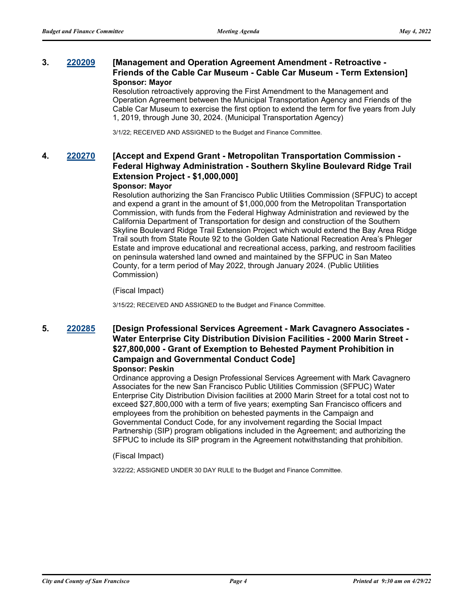#### **3. [220209](http://sfgov.legistar.com/gateway.aspx?m=l&id=38404) [Management and Operation Agreement Amendment - Retroactive - Friends of the Cable Car Museum - Cable Car Museum - Term Extension] Sponsor: Mayor**

Resolution retroactively approving the First Amendment to the Management and Operation Agreement between the Municipal Transportation Agency and Friends of the Cable Car Museum to exercise the first option to extend the term for five years from July 1, 2019, through June 30, 2024. (Municipal Transportation Agency)

3/1/22; RECEIVED AND ASSIGNED to the Budget and Finance Committee.

## **4. [220270](http://sfgov.legistar.com/gateway.aspx?m=l&id=38462) [Accept and Expend Grant - Metropolitan Transportation Commission - Federal Highway Administration - Southern Skyline Boulevard Ridge Trail Extension Project - \$1,000,000]**

#### **Sponsor: Mayor**

Resolution authorizing the San Francisco Public Utilities Commission (SFPUC) to accept and expend a grant in the amount of \$1,000,000 from the Metropolitan Transportation Commission, with funds from the Federal Highway Administration and reviewed by the California Department of Transportation for design and construction of the Southern Skyline Boulevard Ridge Trail Extension Project which would extend the Bay Area Ridge Trail south from State Route 92 to the Golden Gate National Recreation Area's Phleger Estate and improve educational and recreational access, parking, and restroom facilities on peninsula watershed land owned and maintained by the SFPUC in San Mateo County, for a term period of May 2022, through January 2024. (Public Utilities Commission)

(Fiscal Impact)

3/15/22; RECEIVED AND ASSIGNED to the Budget and Finance Committee.

#### **5. [220285](http://sfgov.legistar.com/gateway.aspx?m=l&id=38477) [Design Professional Services Agreement - Mark Cavagnero Associates - Water Enterprise City Distribution Division Facilities - 2000 Marin Street - \$27,800,000 - Grant of Exemption to Behested Payment Prohibition in Campaign and Governmental Conduct Code] Sponsor: Peskin**

Ordinance approving a Design Professional Services Agreement with Mark Cavagnero Associates for the new San Francisco Public Utilities Commission (SFPUC) Water Enterprise City Distribution Division facilities at 2000 Marin Street for a total cost not to exceed \$27,800,000 with a term of five years; exempting San Francisco officers and employees from the prohibition on behested payments in the Campaign and Governmental Conduct Code, for any involvement regarding the Social Impact Partnership (SIP) program obligations included in the Agreement; and authorizing the SFPUC to include its SIP program in the Agreement notwithstanding that prohibition.

(Fiscal Impact)

3/22/22; ASSIGNED UNDER 30 DAY RULE to the Budget and Finance Committee.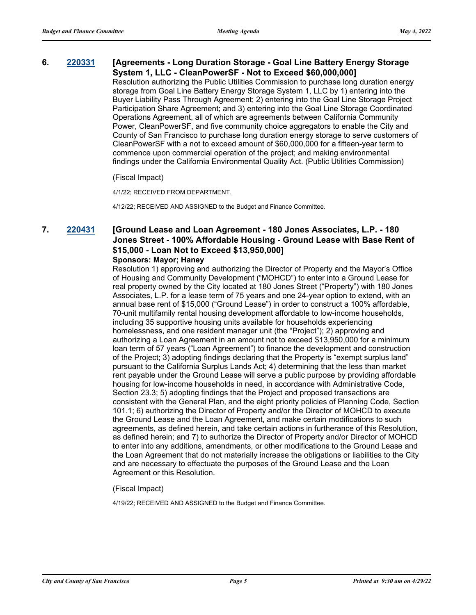#### **6. [220331](http://sfgov.legistar.com/gateway.aspx?m=l&id=38523) [Agreements - Long Duration Storage - Goal Line Battery Energy Storage System 1, LLC - CleanPowerSF - Not to Exceed \$60,000,000]**

Resolution authorizing the Public Utilities Commission to purchase long duration energy storage from Goal Line Battery Energy Storage System 1, LLC by 1) entering into the Buyer Liability Pass Through Agreement; 2) entering into the Goal Line Storage Project Participation Share Agreement; and 3) entering into the Goal Line Storage Coordinated Operations Agreement, all of which are agreements between California Community Power, CleanPowerSF, and five community choice aggregators to enable the City and County of San Francisco to purchase long duration energy storage to serve customers of CleanPowerSF with a not to exceed amount of \$60,000,000 for a fifteen-year term to commence upon commercial operation of the project; and making environmental findings under the California Environmental Quality Act. (Public Utilities Commission)

(Fiscal Impact)

4/1/22; RECEIVED FROM DEPARTMENT.

4/12/22; RECEIVED AND ASSIGNED to the Budget and Finance Committee.

## **7. [220431](http://sfgov.legistar.com/gateway.aspx?m=l&id=38623) [Ground Lease and Loan Agreement - 180 Jones Associates, L.P. - 180 Jones Street - 100% Affordable Housing - Ground Lease with Base Rent of \$15,000 - Loan Not to Exceed \$13,950,000]**

#### **Sponsors: Mayor; Haney**

Resolution 1) approving and authorizing the Director of Property and the Mayor's Office of Housing and Community Development ("MOHCD") to enter into a Ground Lease for real property owned by the City located at 180 Jones Street ("Property") with 180 Jones Associates, L.P. for a lease term of 75 years and one 24-year option to extend, with an annual base rent of \$15,000 ("Ground Lease") in order to construct a 100% affordable, 70-unit multifamily rental housing development affordable to low-income households, including 35 supportive housing units available for households experiencing homelessness, and one resident manager unit (the "Project"); 2) approving and authorizing a Loan Agreement in an amount not to exceed \$13,950,000 for a minimum loan term of 57 years ("Loan Agreement") to finance the development and construction of the Project; 3) adopting findings declaring that the Property is "exempt surplus land" pursuant to the California Surplus Lands Act; 4) determining that the less than market rent payable under the Ground Lease will serve a public purpose by providing affordable housing for low-income households in need, in accordance with Administrative Code, Section 23.3; 5) adopting findings that the Project and proposed transactions are consistent with the General Plan, and the eight priority policies of Planning Code, Section 101.1; 6) authorizing the Director of Property and/or the Director of MOHCD to execute the Ground Lease and the Loan Agreement, and make certain modifications to such agreements, as defined herein, and take certain actions in furtherance of this Resolution, as defined herein; and 7) to authorize the Director of Property and/or Director of MOHCD to enter into any additions, amendments, or other modifications to the Ground Lease and the Loan Agreement that do not materially increase the obligations or liabilities to the City and are necessary to effectuate the purposes of the Ground Lease and the Loan Agreement or this Resolution.

(Fiscal Impact)

4/19/22; RECEIVED AND ASSIGNED to the Budget and Finance Committee.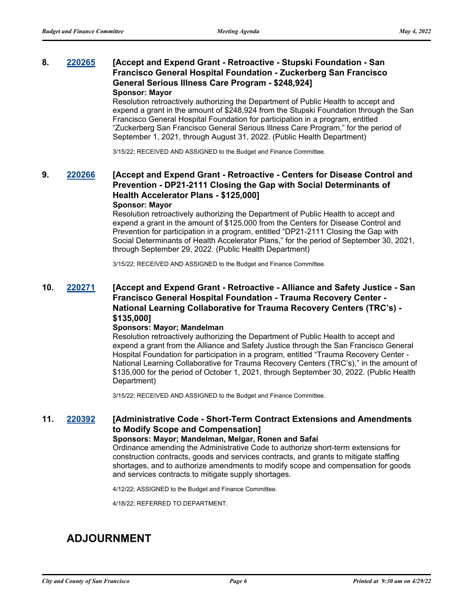#### **8. [220265](http://sfgov.legistar.com/gateway.aspx?m=l&id=38457) [Accept and Expend Grant - Retroactive - Stupski Foundation - San Francisco General Hospital Foundation - Zuckerberg San Francisco General Serious Illness Care Program - \$248,924] Sponsor: Mayor**

Resolution retroactively authorizing the Department of Public Health to accept and expend a grant in the amount of \$248,924 from the Stupski Foundation through the San Francisco General Hospital Foundation for participation in a program, entitled "Zuckerberg San Francisco General Serious Illness Care Program," for the period of September 1, 2021, through August 31, 2022. (Public Health Department)

3/15/22; RECEIVED AND ASSIGNED to the Budget and Finance Committee.

## **9. [220266](http://sfgov.legistar.com/gateway.aspx?m=l&id=38458) [Accept and Expend Grant - Retroactive - Centers for Disease Control and Prevention - DP21-2111 Closing the Gap with Social Determinants of Health Accelerator Plans - \$125,000]**

#### **Sponsor: Mayor**

Resolution retroactively authorizing the Department of Public Health to accept and expend a grant in the amount of \$125,000 from the Centers for Disease Control and Prevention for participation in a program, entitled "DP21-2111 Closing the Gap with Social Determinants of Health Accelerator Plans," for the period of September 30, 2021, through September 29, 2022. (Public Health Department)

3/15/22; RECEIVED AND ASSIGNED to the Budget and Finance Committee.

#### **10. [220271](http://sfgov.legistar.com/gateway.aspx?m=l&id=38463) [Accept and Expend Grant - Retroactive - Alliance and Safety Justice - San Francisco General Hospital Foundation - Trauma Recovery Center - National Learning Collaborative for Trauma Recovery Centers (TRC's) - \$135,000]**

#### **Sponsors: Mayor; Mandelman**

Resolution retroactively authorizing the Department of Public Health to accept and expend a grant from the Alliance and Safety Justice through the San Francisco General Hospital Foundation for participation in a program, entitled "Trauma Recovery Center - National Learning Collaborative for Trauma Recovery Centers (TRC's)," in the amount of \$135,000 for the period of October 1, 2021, through September 30, 2022. (Public Health Department)

3/15/22; RECEIVED AND ASSIGNED to the Budget and Finance Committee.

### **11. [220392](http://sfgov.legistar.com/gateway.aspx?m=l&id=38584) [Administrative Code - Short-Term Contract Extensions and Amendments to Modify Scope and Compensation]**

#### **Sponsors: Mayor; Mandelman, Melgar, Ronen and Safai**

Ordinance amending the Administrative Code to authorize short-term extensions for construction contracts, goods and services contracts, and grants to mitigate staffing shortages, and to authorize amendments to modify scope and compensation for goods and services contracts to mitigate supply shortages.

4/12/22; ASSIGNED to the Budget and Finance Committee.

4/18/22; REFERRED TO DEPARTMENT.

## **ADJOURNMENT**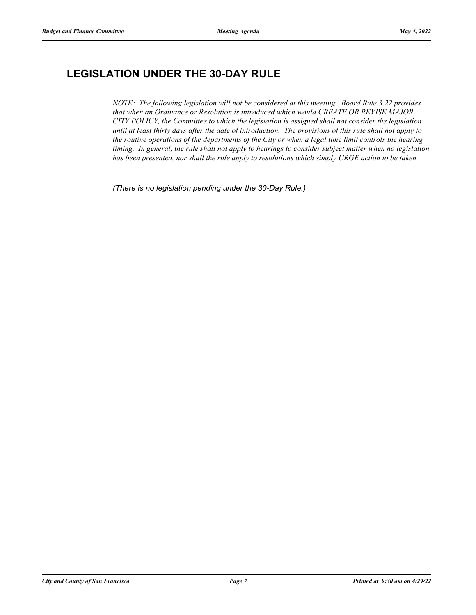# **LEGISLATION UNDER THE 30-DAY RULE**

*NOTE: The following legislation will not be considered at this meeting. Board Rule 3.22 provides that when an Ordinance or Resolution is introduced which would CREATE OR REVISE MAJOR CITY POLICY, the Committee to which the legislation is assigned shall not consider the legislation until at least thirty days after the date of introduction. The provisions of this rule shall not apply to the routine operations of the departments of the City or when a legal time limit controls the hearing timing. In general, the rule shall not apply to hearings to consider subject matter when no legislation has been presented, nor shall the rule apply to resolutions which simply URGE action to be taken.*

*(There is no legislation pending under the 30-Day Rule.)*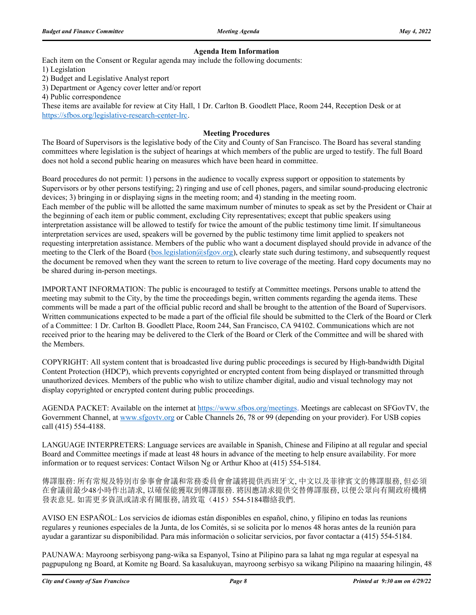#### **Agenda Item Information**

Each item on the Consent or Regular agenda may include the following documents:

1) Legislation

2) Budget and Legislative Analyst report

3) Department or Agency cover letter and/or report

4) Public correspondence

These items are available for review at City Hall, 1 Dr. Carlton B. Goodlett Place, Room 244, Reception Desk or at https://sfbos.org/legislative-research-center-lrc.

#### **Meeting Procedures**

The Board of Supervisors is the legislative body of the City and County of San Francisco. The Board has several standing committees where legislation is the subject of hearings at which members of the public are urged to testify. The full Board does not hold a second public hearing on measures which have been heard in committee.

Board procedures do not permit: 1) persons in the audience to vocally express support or opposition to statements by Supervisors or by other persons testifying; 2) ringing and use of cell phones, pagers, and similar sound-producing electronic devices; 3) bringing in or displaying signs in the meeting room; and 4) standing in the meeting room. Each member of the public will be allotted the same maximum number of minutes to speak as set by the President or Chair at the beginning of each item or public comment, excluding City representatives; except that public speakers using interpretation assistance will be allowed to testify for twice the amount of the public testimony time limit. If simultaneous interpretation services are used, speakers will be governed by the public testimony time limit applied to speakers not requesting interpretation assistance. Members of the public who want a document displayed should provide in advance of the meeting to the Clerk of the Board (bos.legislation@sfgov.org), clearly state such during testimony, and subsequently request the document be removed when they want the screen to return to live coverage of the meeting. Hard copy documents may no be shared during in-person meetings.

IMPORTANT INFORMATION: The public is encouraged to testify at Committee meetings. Persons unable to attend the meeting may submit to the City, by the time the proceedings begin, written comments regarding the agenda items. These comments will be made a part of the official public record and shall be brought to the attention of the Board of Supervisors. Written communications expected to be made a part of the official file should be submitted to the Clerk of the Board or Clerk of a Committee: 1 Dr. Carlton B. Goodlett Place, Room 244, San Francisco, CA 94102. Communications which are not received prior to the hearing may be delivered to the Clerk of the Board or Clerk of the Committee and will be shared with the Members.

COPYRIGHT: All system content that is broadcasted live during public proceedings is secured by High-bandwidth Digital Content Protection (HDCP), which prevents copyrighted or encrypted content from being displayed or transmitted through unauthorized devices. Members of the public who wish to utilize chamber digital, audio and visual technology may not display copyrighted or encrypted content during public proceedings.

AGENDA PACKET: Available on the internet at https://www.sfbos.org/meetings. Meetings are cablecast on SFGovTV, the Government Channel, at www.sfgovtv.org or Cable Channels 26, 78 or 99 (depending on your provider). For USB copies call (415) 554-4188.

LANGUAGE INTERPRETERS: Language services are available in Spanish, Chinese and Filipino at all regular and special Board and Committee meetings if made at least 48 hours in advance of the meeting to help ensure availability. For more information or to request services: Contact Wilson Ng or Arthur Khoo at (415) 554-5184.

傳譯服務: 所有常規及特別市參事會會議和常務委員會會議將提供西班牙文, 中文以及菲律賓文的傳譯服務, 但必須 在會議前最少48小時作出請求, 以確保能獲取到傳譯服務. 將因應請求提供交替傳譯服務, 以便公眾向有關政府機構 發表意見. 如需更多資訊或請求有關服務, 請致電(415) 554-5184聯絡我們.

AVISO EN ESPAÑOL: Los servicios de idiomas están disponibles en español, chino, y filipino en todas las reunions regulares y reuniones especiales de la Junta, de los Comités, si se solicita por lo menos 48 horas antes de la reunión para ayudar a garantizar su disponibilidad. Para más información o solicitar servicios, por favor contactar a (415) 554-5184.

PAUNAWA: Mayroong serbisyong pang-wika sa Espanyol, Tsino at Pilipino para sa lahat ng mga regular at espesyal na pagpupulong ng Board, at Komite ng Board. Sa kasalukuyan, mayroong serbisyo sa wikang Pilipino na maaaring hilingin, 48